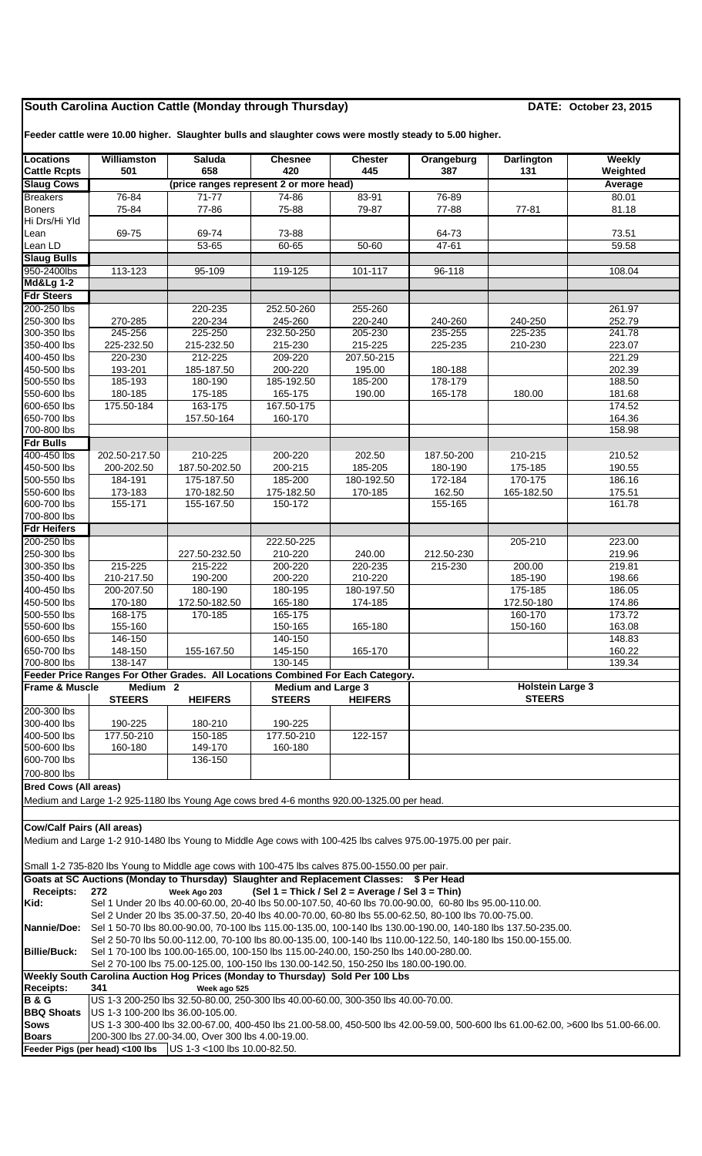## **South Carolina Auction Cattle (Monday through Thursday) DATE: October 23, 2015**

**Feeder cattle were 10.00 higher. Slaughter bulls and slaughter cows were mostly steady to 5.00 higher.**

| <b>Locations</b>                          | <b>Williamston</b>                                                                                                                                                     | <b>Saluda</b>                                                                                                | <b>Chesnee</b>                                   | <b>Chester</b>        | Orangeburg         | <b>Darlington</b>       | Weekly           |  |  |  |  |
|-------------------------------------------|------------------------------------------------------------------------------------------------------------------------------------------------------------------------|--------------------------------------------------------------------------------------------------------------|--------------------------------------------------|-----------------------|--------------------|-------------------------|------------------|--|--|--|--|
| <b>Cattle Rcpts</b><br><b>Slaug Cows</b>  | 501                                                                                                                                                                    | 658<br>(price ranges represent 2 or more head)                                                               | 420                                              | 445                   | 387                | 131                     | Weighted         |  |  |  |  |
| <b>Breakers</b>                           | 76-84                                                                                                                                                                  | 71-77                                                                                                        | 74-86                                            | 83-91                 | 76-89              |                         | Average<br>80.01 |  |  |  |  |
| <b>Boners</b>                             | 75-84                                                                                                                                                                  | 77-86                                                                                                        | 75-88                                            | 79-87                 | 77-88              | 77-81                   | 81.18            |  |  |  |  |
| Hi Drs/Hi Yld                             |                                                                                                                                                                        |                                                                                                              |                                                  |                       |                    |                         |                  |  |  |  |  |
| Lean                                      | 69-75                                                                                                                                                                  | 69-74                                                                                                        | 73-88                                            |                       | 64-73              |                         | 73.51            |  |  |  |  |
| Lean LD                                   |                                                                                                                                                                        | 53-65                                                                                                        | 60-65                                            | 50-60                 | 47-61              |                         | 59.58            |  |  |  |  |
| <b>Slaug Bulls</b>                        |                                                                                                                                                                        |                                                                                                              |                                                  |                       |                    |                         |                  |  |  |  |  |
| 950-2400lbs                               | 113-123                                                                                                                                                                | 95-109                                                                                                       | 119-125                                          | 101-117               | 96-118             |                         | 108.04           |  |  |  |  |
| <b>Md&amp;Lg 1-2</b><br><b>Fdr Steers</b> |                                                                                                                                                                        |                                                                                                              |                                                  |                       |                    |                         |                  |  |  |  |  |
| 200-250 lbs                               |                                                                                                                                                                        | 220-235                                                                                                      | 252.50-260                                       | 255-260               |                    |                         | 261.97           |  |  |  |  |
| 250-300 lbs                               | 270-285                                                                                                                                                                | 220-234                                                                                                      | 245-260                                          | 220-240               | 240-260            | 240-250                 | 252.79           |  |  |  |  |
| 300-350 lbs                               | 245-256                                                                                                                                                                | 225-250                                                                                                      | 232.50-250                                       | 205-230               | 235-255            | 225-235                 | 241.78           |  |  |  |  |
| 350-400 lbs                               | 225-232.50                                                                                                                                                             | 215-232.50                                                                                                   | 215-230                                          | 215-225               | 225-235            | 210-230                 | 223.07           |  |  |  |  |
| 400-450 lbs                               | 220-230                                                                                                                                                                | 212-225                                                                                                      | 209-220                                          | 207.50-215            |                    |                         | 221.29           |  |  |  |  |
| 450-500 lbs                               | 193-201<br>185-193                                                                                                                                                     | 185-187.50<br>180-190                                                                                        | 200-220<br>185-192.50                            | 195.00                | 180-188<br>178-179 |                         | 202.39<br>188.50 |  |  |  |  |
| 500-550 lbs<br>550-600 lbs                | 180-185                                                                                                                                                                | 175-185                                                                                                      | 165-175                                          | 185-200<br>190.00     | 165-178            | 180.00                  | 181.68           |  |  |  |  |
| 600-650 lbs                               | 175.50-184                                                                                                                                                             | 163-175                                                                                                      | 167.50-175                                       |                       |                    |                         | 174.52           |  |  |  |  |
| 650-700 lbs                               |                                                                                                                                                                        | 157.50-164                                                                                                   | 160-170                                          |                       |                    |                         | 164.36           |  |  |  |  |
| 700-800 lbs                               |                                                                                                                                                                        |                                                                                                              |                                                  |                       |                    |                         | 158.98           |  |  |  |  |
| <b>Fdr Bulls</b>                          |                                                                                                                                                                        |                                                                                                              |                                                  |                       |                    |                         |                  |  |  |  |  |
| 400-450 lbs                               | 202.50-217.50                                                                                                                                                          | 210-225                                                                                                      | 200-220                                          | 202.50                | 187.50-200         | 210-215                 | 210.52           |  |  |  |  |
| 450-500 lbs<br>500-550 lbs                | 200-202.50<br>184-191                                                                                                                                                  | 187.50-202.50<br>175-187.50                                                                                  | 200-215<br>185-200                               | 185-205<br>180-192.50 | 180-190<br>172-184 | 175-185<br>170-175      | 190.55<br>186.16 |  |  |  |  |
| 550-600 lbs                               | 173-183                                                                                                                                                                | 170-182.50                                                                                                   | 175-182.50                                       | 170-185               | 162.50             | 165-182.50              | 175.51           |  |  |  |  |
| 600-700 lbs                               | 155-171                                                                                                                                                                | 155-167.50                                                                                                   | 150-172                                          |                       | 155-165            |                         | 161.78           |  |  |  |  |
| 700-800 lbs                               |                                                                                                                                                                        |                                                                                                              |                                                  |                       |                    |                         |                  |  |  |  |  |
| <b>Fdr Heifers</b>                        |                                                                                                                                                                        |                                                                                                              |                                                  |                       |                    |                         |                  |  |  |  |  |
| 200-250 lbs                               |                                                                                                                                                                        |                                                                                                              | 222.50-225                                       |                       |                    | 205-210                 | 223.00           |  |  |  |  |
| 250-300 lbs                               |                                                                                                                                                                        | 227.50-232.50                                                                                                | 210-220                                          | 240.00                | 212.50-230         |                         | 219.96           |  |  |  |  |
| 300-350 lbs<br>350-400 lbs                | 215-225<br>210-217.50                                                                                                                                                  | 215-222<br>190-200                                                                                           | 200-220<br>200-220                               | 220-235<br>210-220    | 215-230            | 200.00<br>185-190       | 219.81<br>198.66 |  |  |  |  |
| 400-450 lbs                               | 200-207.50                                                                                                                                                             | 180-190                                                                                                      | 180-195                                          | 180-197.50            |                    | 175-185                 | 186.05           |  |  |  |  |
| 450-500 lbs                               | 170-180                                                                                                                                                                | 172.50-182.50                                                                                                | 165-180                                          | 174-185               |                    | 172.50-180              | 174.86           |  |  |  |  |
| 500-550 lbs                               | 168-175                                                                                                                                                                | 170-185                                                                                                      | 165-175                                          |                       |                    | 160-170                 | 173.72           |  |  |  |  |
| 550-600 lbs                               | 155-160                                                                                                                                                                |                                                                                                              | 150-165                                          | 165-180               |                    | 150-160                 | 163.08           |  |  |  |  |
| 600-650 lbs                               | 146-150                                                                                                                                                                |                                                                                                              | 140-150                                          |                       |                    |                         | 148.83           |  |  |  |  |
| 650-700 lbs<br>700-800 lbs                | 148-150<br>138-147                                                                                                                                                     | 155-167.50                                                                                                   | 145-150<br>130-145                               | 165-170               |                    |                         | 160.22<br>139.34 |  |  |  |  |
|                                           |                                                                                                                                                                        | Feeder Price Ranges For Other Grades. All Locations Combined For Each Category.                              |                                                  |                       |                    |                         |                  |  |  |  |  |
| <b>Frame &amp; Muscle</b>                 | Medium <sub>2</sub>                                                                                                                                                    |                                                                                                              | <b>Medium and Large 3</b>                        |                       |                    | <b>Holstein Large 3</b> |                  |  |  |  |  |
|                                           | <b>STEERS</b>                                                                                                                                                          | <b>HEIFERS</b>                                                                                               | <b>STEERS</b>                                    | <b>HEIFERS</b>        | <b>STEERS</b>      |                         |                  |  |  |  |  |
| 200-300 lbs                               |                                                                                                                                                                        |                                                                                                              |                                                  |                       |                    |                         |                  |  |  |  |  |
| 300-400 lbs<br>400-500 lbs                | 190-225<br>177.50-210                                                                                                                                                  | 180-210<br>150-185                                                                                           | 190-225<br>177.50-210                            | 122-157               |                    |                         |                  |  |  |  |  |
| 500-600 lbs                               | 160-180                                                                                                                                                                | 149-170                                                                                                      | 160-180                                          |                       |                    |                         |                  |  |  |  |  |
| 600-700 lbs                               |                                                                                                                                                                        | 136-150                                                                                                      |                                                  |                       |                    |                         |                  |  |  |  |  |
| 700-800 lbs                               |                                                                                                                                                                        |                                                                                                              |                                                  |                       |                    |                         |                  |  |  |  |  |
| <b>Bred Cows (All areas)</b>              |                                                                                                                                                                        |                                                                                                              |                                                  |                       |                    |                         |                  |  |  |  |  |
|                                           |                                                                                                                                                                        | Medium and Large 1-2 925-1180 lbs Young Age cows bred 4-6 months 920.00-1325.00 per head.                    |                                                  |                       |                    |                         |                  |  |  |  |  |
|                                           |                                                                                                                                                                        |                                                                                                              |                                                  |                       |                    |                         |                  |  |  |  |  |
| <b>Cow/Calf Pairs (All areas)</b>         |                                                                                                                                                                        |                                                                                                              |                                                  |                       |                    |                         |                  |  |  |  |  |
|                                           |                                                                                                                                                                        | Medium and Large 1-2 910-1480 lbs Young to Middle Age cows with 100-425 lbs calves 975.00-1975.00 per pair.  |                                                  |                       |                    |                         |                  |  |  |  |  |
|                                           |                                                                                                                                                                        |                                                                                                              |                                                  |                       |                    |                         |                  |  |  |  |  |
|                                           |                                                                                                                                                                        | Small 1-2 735-820 lbs Young to Middle age cows with 100-475 lbs calves 875.00-1550.00 per pair.              |                                                  |                       |                    |                         |                  |  |  |  |  |
| <b>Receipts:</b>                          | 272                                                                                                                                                                    | Goats at SC Auctions (Monday to Thursday) Slaughter and Replacement Classes: \$ Per Head<br>Week Ago 203     | (Sel 1 = Thick / Sel 2 = Average / Sel 3 = Thin) |                       |                    |                         |                  |  |  |  |  |
| Kid:                                      |                                                                                                                                                                        | Sel 1 Under 20 lbs 40.00-60.00, 20-40 lbs 50.00-107.50, 40-60 lbs 70.00-90.00, 60-80 lbs 95.00-110.00.       |                                                  |                       |                    |                         |                  |  |  |  |  |
|                                           |                                                                                                                                                                        | Sel 2 Under 20 lbs 35.00-37.50, 20-40 lbs 40.00-70.00, 60-80 lbs 55.00-62.50, 80-100 lbs 70.00-75.00.        |                                                  |                       |                    |                         |                  |  |  |  |  |
| Nannie/Doe:                               |                                                                                                                                                                        | Sel 1 50-70 lbs 80.00-90.00, 70-100 lbs 115.00-135.00, 100-140 lbs 130.00-190.00, 140-180 lbs 137.50-235.00. |                                                  |                       |                    |                         |                  |  |  |  |  |
|                                           |                                                                                                                                                                        | Sel 2 50-70 lbs 50.00-112.00, 70-100 lbs 80.00-135.00, 100-140 lbs 110.00-122.50, 140-180 lbs 150.00-155.00. |                                                  |                       |                    |                         |                  |  |  |  |  |
| <b>Billie/Buck:</b>                       |                                                                                                                                                                        | Sel 1 70-100 lbs 100.00-165.00, 100-150 lbs 115.00-240.00, 150-250 lbs 140.00-280.00.                        |                                                  |                       |                    |                         |                  |  |  |  |  |
|                                           | Sel 2 70-100 lbs 75.00-125.00, 100-150 lbs 130.00-142.50, 150-250 lbs 180.00-190.00.<br>Weekly South Carolina Auction Hog Prices (Monday to Thursday) Sold Per 100 Lbs |                                                                                                              |                                                  |                       |                    |                         |                  |  |  |  |  |
| <b>Receipts:</b>                          | 341<br>Week ago 525                                                                                                                                                    |                                                                                                              |                                                  |                       |                    |                         |                  |  |  |  |  |
| <b>B&amp;G</b>                            | US 1-3 200-250 lbs 32.50-80.00, 250-300 lbs 40.00-60.00, 300-350 lbs 40.00-70.00.                                                                                      |                                                                                                              |                                                  |                       |                    |                         |                  |  |  |  |  |
| <b>BBQ Shoats</b>                         | US 1-3 100-200 lbs 36.00-105.00.                                                                                                                                       |                                                                                                              |                                                  |                       |                    |                         |                  |  |  |  |  |
| <b>Sows</b>                               | US 1-3 300-400 lbs 32.00-67.00, 400-450 lbs 21.00-58.00, 450-500 lbs 42.00-59.00, 500-600 lbs 61.00-62.00, >600 lbs 51.00-66.00.                                       |                                                                                                              |                                                  |                       |                    |                         |                  |  |  |  |  |
| <b>Boars</b>                              | 200-300 lbs 27.00-34.00, Over 300 lbs 4.00-19.00.<br>Feeder Pigs (per head) <100 lbs US 1-3 <100 lbs 10.00-82.50.                                                      |                                                                                                              |                                                  |                       |                    |                         |                  |  |  |  |  |
|                                           |                                                                                                                                                                        |                                                                                                              |                                                  |                       |                    |                         |                  |  |  |  |  |